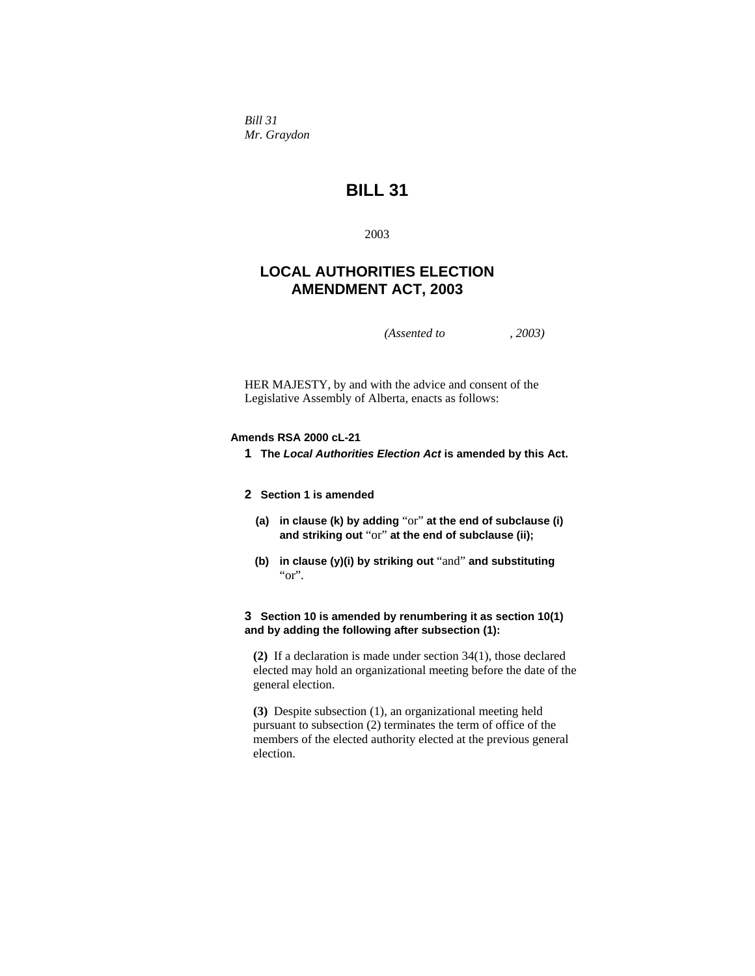*Bill 31 Mr. Graydon* 

# **BILL 31**

2003

# **LOCAL AUTHORITIES ELECTION AMENDMENT ACT, 2003**

*(Assented to , 2003)* 

HER MAJESTY, by and with the advice and consent of the Legislative Assembly of Alberta, enacts as follows:

# **Amends RSA 2000 cL-21**

**1 The** *Local Authorities Election Act* **is amended by this Act.** 

# **2 Section 1 is amended**

- **(a) in clause (k) by adding** "or" **at the end of subclause (i) and striking out** "or" **at the end of subclause (ii);**
- **(b) in clause (y)(i) by striking out** "and" **and substituting**  "or".

# **3 Section 10 is amended by renumbering it as section 10(1) and by adding the following after subsection (1):**

**(2)** If a declaration is made under section 34(1), those declared elected may hold an organizational meeting before the date of the general election.

**(3)** Despite subsection (1), an organizational meeting held pursuant to subsection (2) terminates the term of office of the members of the elected authority elected at the previous general election.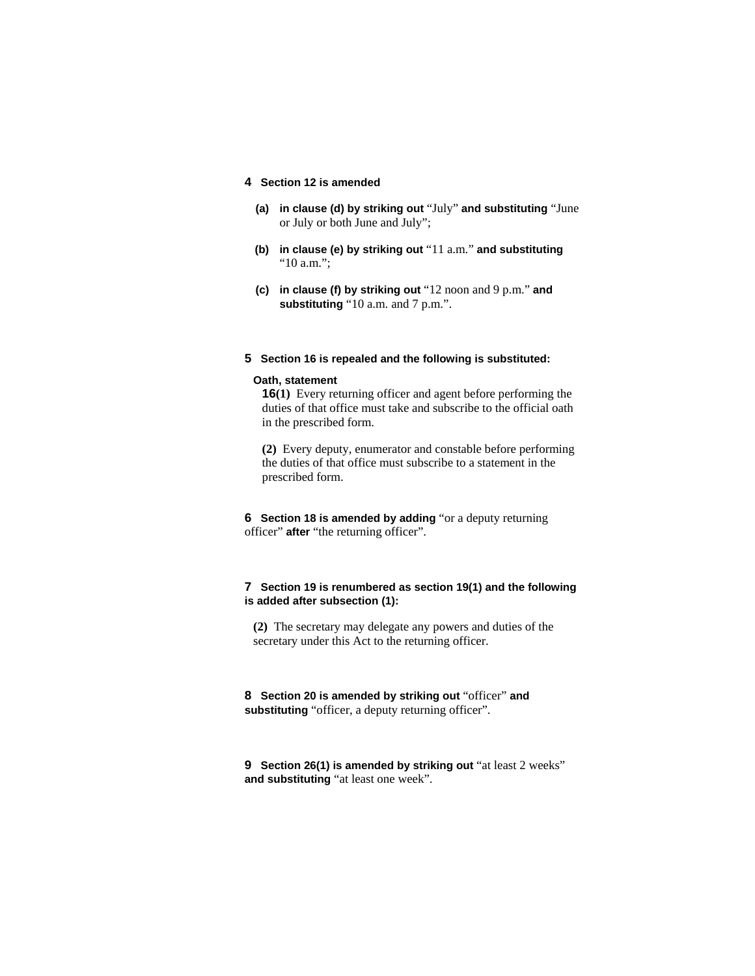# **4 Section 12 is amended**

- **(a) in clause (d) by striking out** "July" **and substituting** "June or July or both June and July";
- **(b) in clause (e) by striking out** "11 a.m." **and substituting**  "10 a.m.";
- **(c) in clause (f) by striking out** "12 noon and 9 p.m." **and**  substituting "10 a.m. and 7 p.m.".

# **5 Section 16 is repealed and the following is substituted:**

#### **Oath, statement**

**16(1)** Every returning officer and agent before performing the duties of that office must take and subscribe to the official oath in the prescribed form.

**(2)** Every deputy, enumerator and constable before performing the duties of that office must subscribe to a statement in the prescribed form.

**6 Section 18 is amended by adding** "or a deputy returning officer" **after** "the returning officer".

# **7 Section 19 is renumbered as section 19(1) and the following is added after subsection (1):**

**(2)** The secretary may delegate any powers and duties of the secretary under this Act to the returning officer.

**8 Section 20 is amended by striking out** "officer" **and**  substituting "officer, a deputy returning officer".

**9** Section 26(1) is amended by striking out "at least 2 weeks" **and substituting** "at least one week".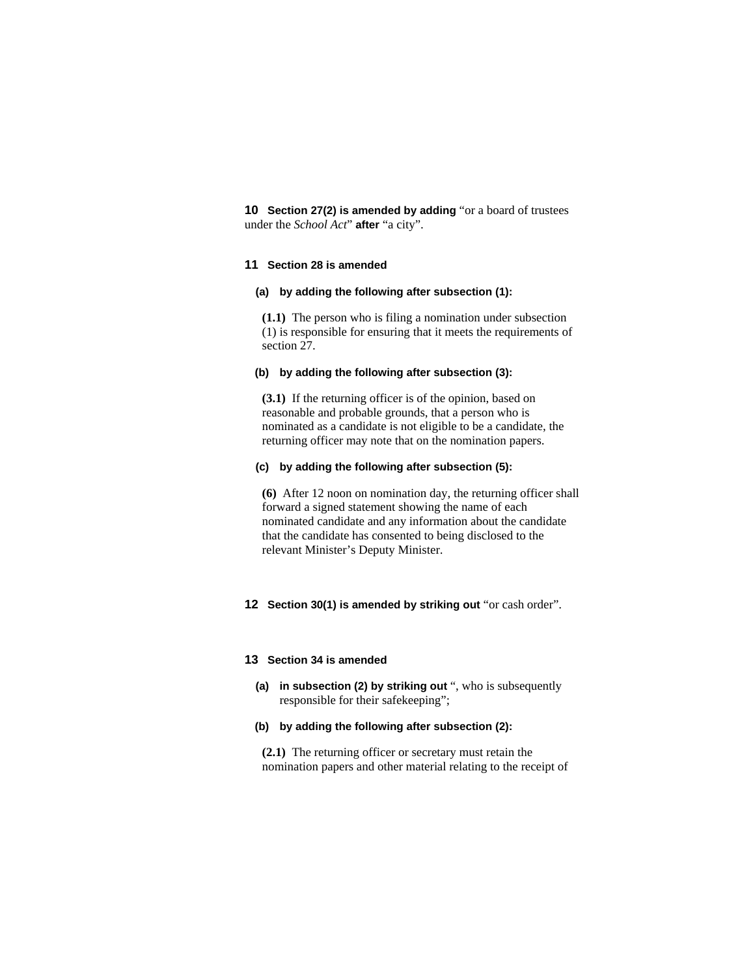**10 Section 27(2) is amended by adding** "or a board of trustees under the *School Act*" **after** "a city".

### **11 Section 28 is amended**

#### **(a) by adding the following after subsection (1):**

**(1.1)** The person who is filing a nomination under subsection (1) is responsible for ensuring that it meets the requirements of section 27.

# **(b) by adding the following after subsection (3):**

**(3.1)** If the returning officer is of the opinion, based on reasonable and probable grounds, that a person who is nominated as a candidate is not eligible to be a candidate, the returning officer may note that on the nomination papers.

### **(c) by adding the following after subsection (5):**

**(6)** After 12 noon on nomination day, the returning officer shall forward a signed statement showing the name of each nominated candidate and any information about the candidate that the candidate has consented to being disclosed to the relevant Minister's Deputy Minister.

#### **12 Section 30(1) is amended by striking out** "or cash order".

### **13 Section 34 is amended**

**(a) in subsection (2) by striking out** ", who is subsequently responsible for their safekeeping";

# **(b) by adding the following after subsection (2):**

**(2.1)** The returning officer or secretary must retain the nomination papers and other material relating to the receipt of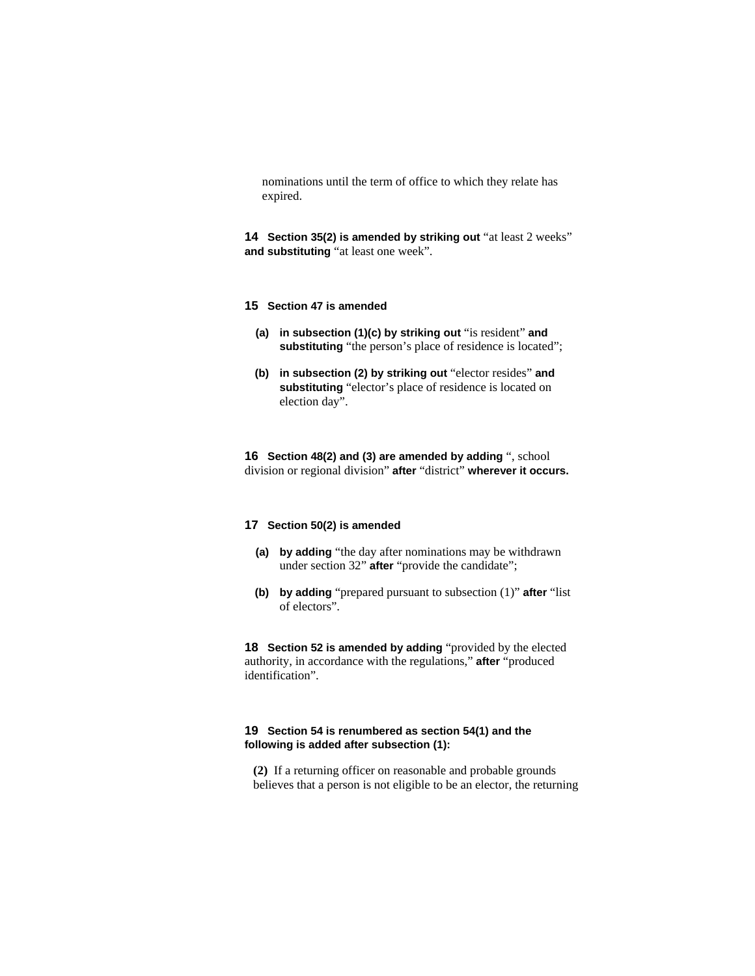nominations until the term of office to which they relate has expired.

**14 Section 35(2) is amended by striking out** "at least 2 weeks" **and substituting** "at least one week".

### **15 Section 47 is amended**

- **(a) in subsection (1)(c) by striking out** "is resident" **and**  substituting "the person's place of residence is located";
- **(b) in subsection (2) by striking out** "elector resides" **and substituting** "elector's place of residence is located on election day".

**16 Section 48(2) and (3) are amended by adding** ", school division or regional division" **after** "district" **wherever it occurs.**

# **17 Section 50(2) is amended**

- **(a) by adding** "the day after nominations may be withdrawn under section 32" **after** "provide the candidate";
- **(b) by adding** "prepared pursuant to subsection (1)" **after** "list of electors".

**18 Section 52 is amended by adding** "provided by the elected authority, in accordance with the regulations," **after** "produced identification".

# **19 Section 54 is renumbered as section 54(1) and the following is added after subsection (1):**

**(2)** If a returning officer on reasonable and probable grounds believes that a person is not eligible to be an elector, the returning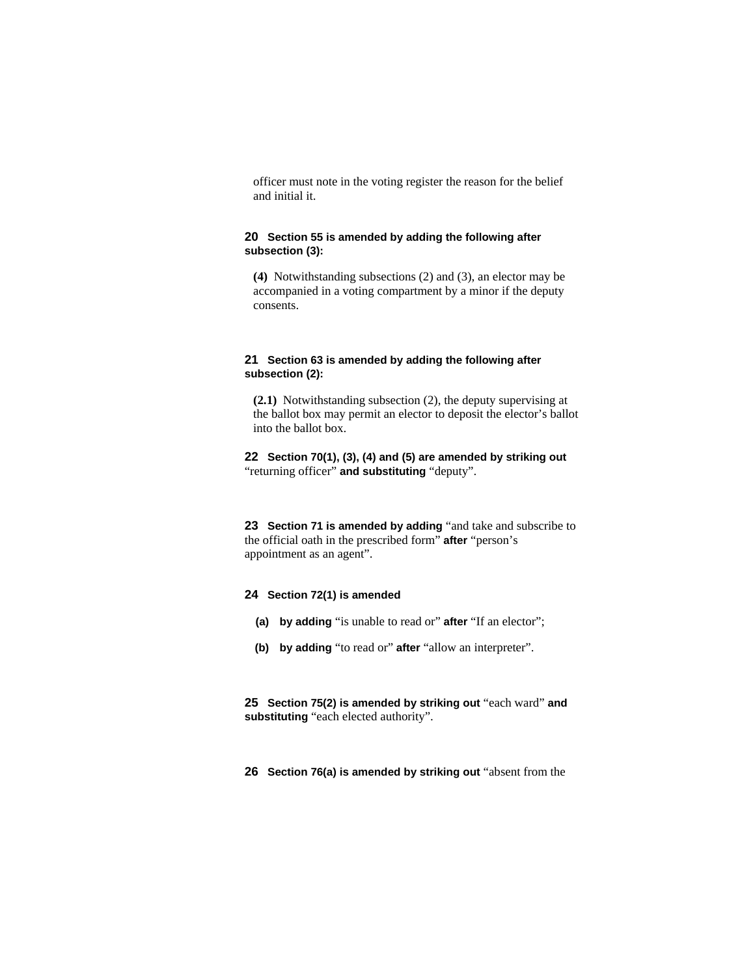officer must note in the voting register the reason for the belief and initial it.

# **20 Section 55 is amended by adding the following after subsection (3):**

**(4)** Notwithstanding subsections (2) and (3), an elector may be accompanied in a voting compartment by a minor if the deputy consents.

# **21 Section 63 is amended by adding the following after subsection (2):**

**(2.1)** Notwithstanding subsection (2), the deputy supervising at the ballot box may permit an elector to deposit the elector's ballot into the ballot box.

**22 Section 70(1), (3), (4) and (5) are amended by striking out**  "returning officer" **and substituting** "deputy".

**23 Section 71 is amended by adding** "and take and subscribe to the official oath in the prescribed form" **after** "person's appointment as an agent".

# **24 Section 72(1) is amended**

- **(a) by adding** "is unable to read or" **after** "If an elector";
- **(b) by adding** "to read or" **after** "allow an interpreter".

**25 Section 75(2) is amended by striking out** "each ward" **and substituting** "each elected authority".

**26 Section 76(a) is amended by striking out** "absent from the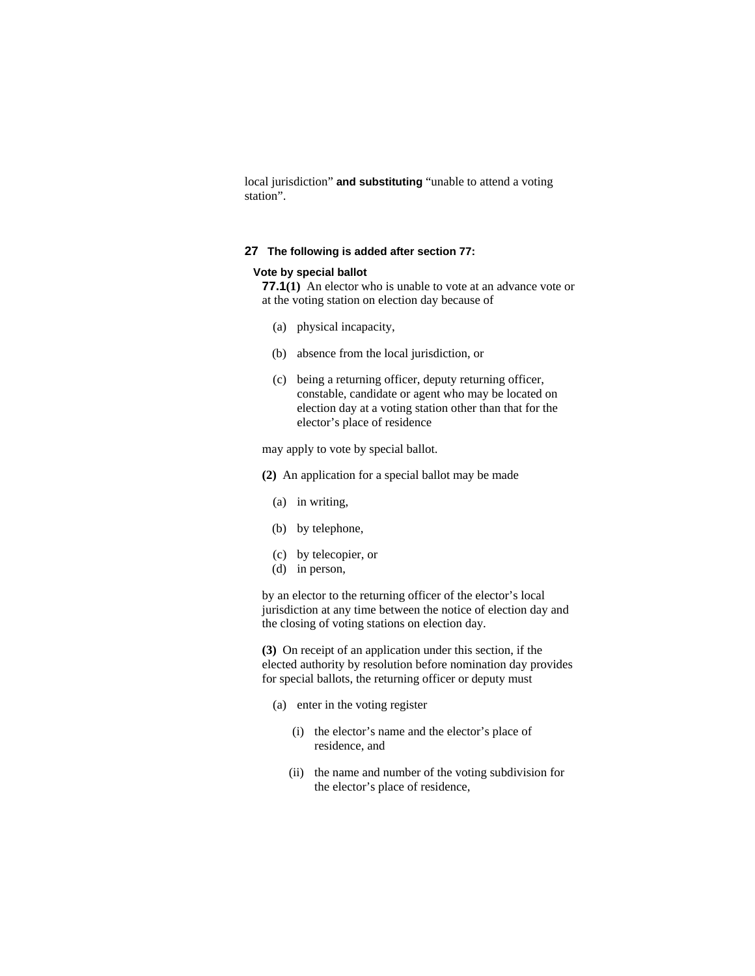local jurisdiction" **and substituting** "unable to attend a voting station".

# **27 The following is added after section 77:**

# **Vote by special ballot**

**77.1(1)** An elector who is unable to vote at an advance vote or at the voting station on election day because of

- (a) physical incapacity,
- (b) absence from the local jurisdiction, or
- (c) being a returning officer, deputy returning officer, constable, candidate or agent who may be located on election day at a voting station other than that for the elector's place of residence

may apply to vote by special ballot.

- **(2)** An application for a special ballot may be made
	- (a) in writing,
	- (b) by telephone,
	- (c) by telecopier, or
	- (d) in person,

by an elector to the returning officer of the elector's local jurisdiction at any time between the notice of election day and the closing of voting stations on election day.

**(3)** On receipt of an application under this section, if the elected authority by resolution before nomination day provides for special ballots, the returning officer or deputy must

- (a) enter in the voting register
	- (i) the elector's name and the elector's place of residence, and
	- (ii) the name and number of the voting subdivision for the elector's place of residence,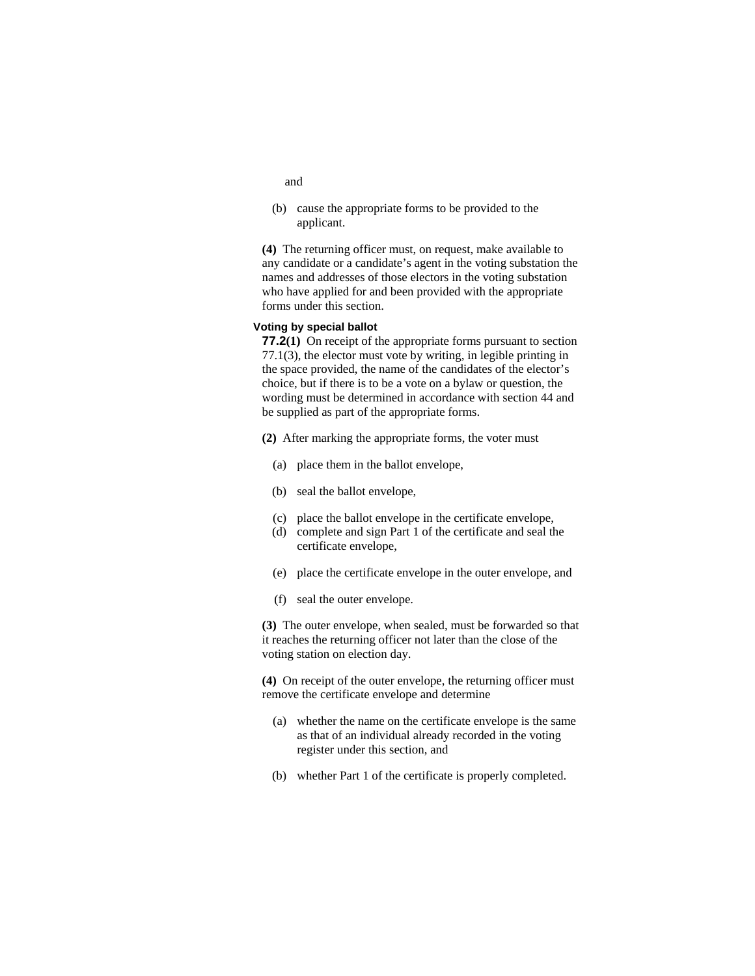- and
- (b) cause the appropriate forms to be provided to the applicant.

**(4)** The returning officer must, on request, make available to any candidate or a candidate's agent in the voting substation the names and addresses of those electors in the voting substation who have applied for and been provided with the appropriate forms under this section.

### **Voting by special ballot**

**77.2(1)** On receipt of the appropriate forms pursuant to section 77.1(3), the elector must vote by writing, in legible printing in the space provided, the name of the candidates of the elector's choice, but if there is to be a vote on a bylaw or question, the wording must be determined in accordance with section 44 and be supplied as part of the appropriate forms.

- **(2)** After marking the appropriate forms, the voter must
	- (a) place them in the ballot envelope,
	- (b) seal the ballot envelope,
	- (c) place the ballot envelope in the certificate envelope,
	- (d) complete and sign Part 1 of the certificate and seal the certificate envelope,
	- (e) place the certificate envelope in the outer envelope, and
	- (f) seal the outer envelope.

**(3)** The outer envelope, when sealed, must be forwarded so that it reaches the returning officer not later than the close of the voting station on election day.

**(4)** On receipt of the outer envelope, the returning officer must remove the certificate envelope and determine

- (a) whether the name on the certificate envelope is the same as that of an individual already recorded in the voting register under this section, and
- (b) whether Part 1 of the certificate is properly completed.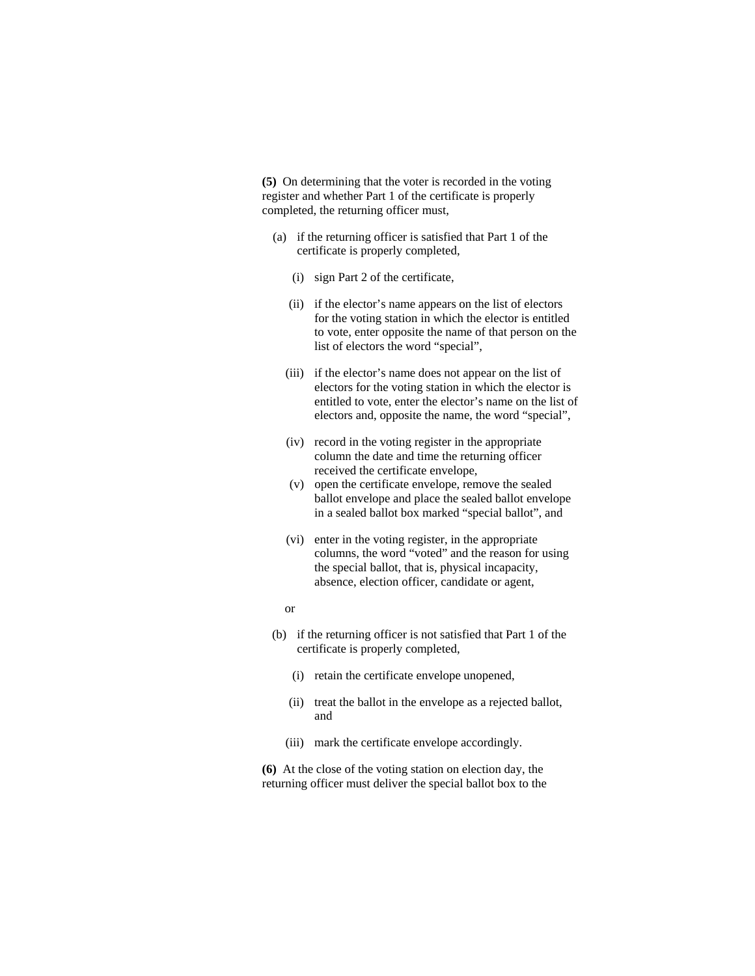**(5)** On determining that the voter is recorded in the voting register and whether Part 1 of the certificate is properly completed, the returning officer must,

- (a) if the returning officer is satisfied that Part 1 of the certificate is properly completed,
	- (i) sign Part 2 of the certificate,
	- (ii) if the elector's name appears on the list of electors for the voting station in which the elector is entitled to vote, enter opposite the name of that person on the list of electors the word "special",
	- (iii) if the elector's name does not appear on the list of electors for the voting station in which the elector is entitled to vote, enter the elector's name on the list of electors and, opposite the name, the word "special",
	- (iv) record in the voting register in the appropriate column the date and time the returning officer received the certificate envelope,
	- (v) open the certificate envelope, remove the sealed ballot envelope and place the sealed ballot envelope in a sealed ballot box marked "special ballot", and
	- (vi) enter in the voting register, in the appropriate columns, the word "voted" and the reason for using the special ballot, that is, physical incapacity, absence, election officer, candidate or agent,
	- or
- (b) if the returning officer is not satisfied that Part 1 of the certificate is properly completed,
	- (i) retain the certificate envelope unopened,
	- (ii) treat the ballot in the envelope as a rejected ballot, and
	- (iii) mark the certificate envelope accordingly.

**(6)** At the close of the voting station on election day, the returning officer must deliver the special ballot box to the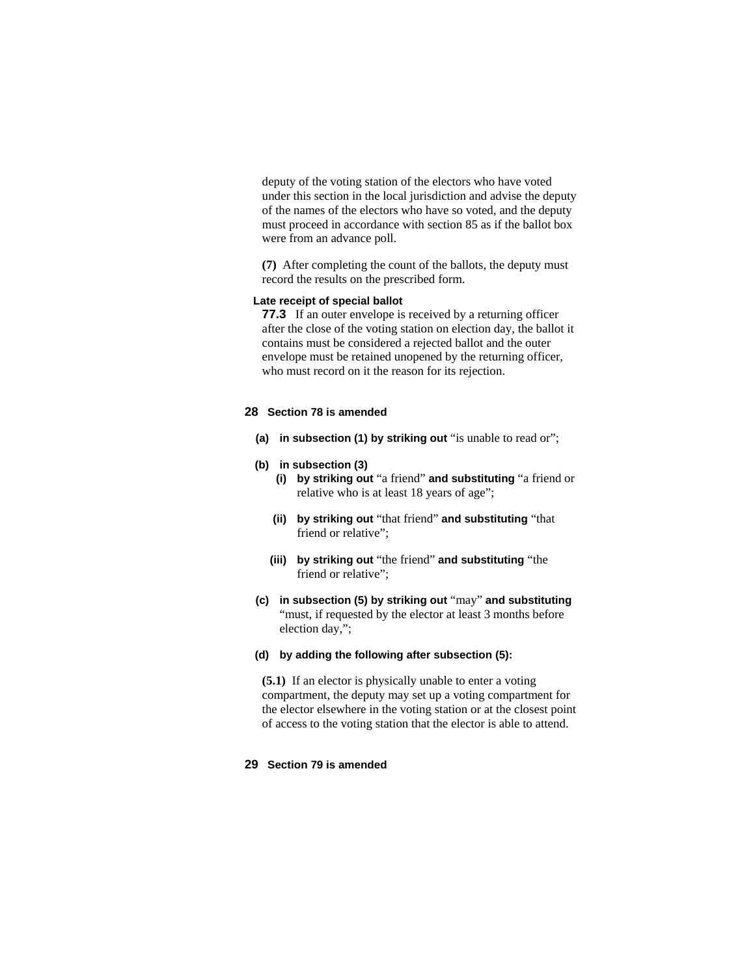deputy of the voting station of the electors who have voted under this section in the local jurisdiction and advise the deputy of the names of the electors who have so voted, and the deputy must proceed in accordance with section 85 as if the ballot box were from an advance poll.

**(7)** After completing the count of the ballots, the deputy must record the results on the prescribed form.

### **Late receipt of special ballot**

**77.3** If an outer envelope is received by a returning officer after the close of the voting station on election day, the ballot it contains must be considered a rejected ballot and the outer envelope must be retained unopened by the returning officer, who must record on it the reason for its rejection.

### **28 Section 78 is amended**

- **(a) in subsection (1) by striking out** "is unable to read or";
- **(b) in subsection (3)**
	- **(i) by striking out** "a friend" **and substituting** "a friend or relative who is at least 18 years of age";
	- **(ii) by striking out** "that friend" **and substituting** "that friend or relative";
	- **(iii) by striking out** "the friend" **and substituting** "the friend or relative";
- **(c) in subsection (5) by striking out** "may" **and substituting**  "must, if requested by the elector at least 3 months before election day,";

### **(d) by adding the following after subsection (5):**

**(5.1)** If an elector is physically unable to enter a voting compartment, the deputy may set up a voting compartment for the elector elsewhere in the voting station or at the closest point of access to the voting station that the elector is able to attend.

#### **29 Section 79 is amended**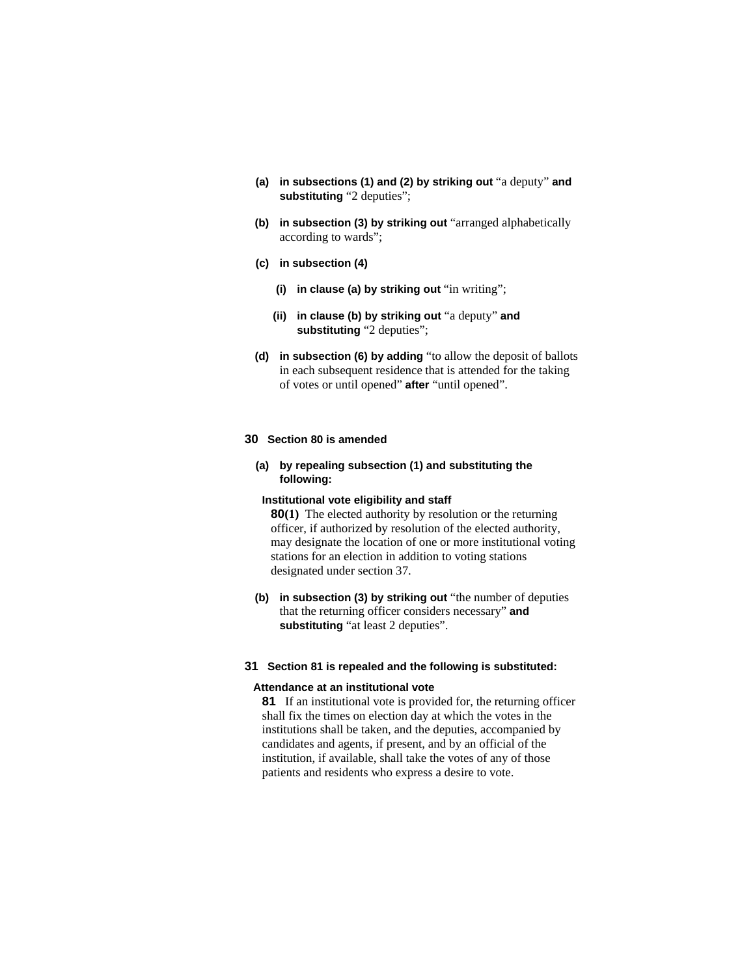- **(a) in subsections (1) and (2) by striking out** "a deputy" **and substituting** "2 deputies";
- **(b) in subsection (3) by striking out** "arranged alphabetically according to wards";
- **(c) in subsection (4)**
	- **(i) in clause (a) by striking out** "in writing";
	- **(ii) in clause (b) by striking out** "a deputy" **and substituting** "2 deputies";
- **(d) in subsection (6) by adding** "to allow the deposit of ballots in each subsequent residence that is attended for the taking of votes or until opened" **after** "until opened".

# **30 Section 80 is amended**

**(a) by repealing subsection (1) and substituting the following:**

# **Institutional vote eligibility and staff**

**80(1)** The elected authority by resolution or the returning officer, if authorized by resolution of the elected authority, may designate the location of one or more institutional voting stations for an election in addition to voting stations designated under section 37.

 **(b) in subsection (3) by striking out** "the number of deputies that the returning officer considers necessary" **and substituting** "at least 2 deputies".

#### **31 Section 81 is repealed and the following is substituted:**

#### **Attendance at an institutional vote**

**81** If an institutional vote is provided for, the returning officer shall fix the times on election day at which the votes in the institutions shall be taken, and the deputies, accompanied by candidates and agents, if present, and by an official of the institution, if available, shall take the votes of any of those patients and residents who express a desire to vote.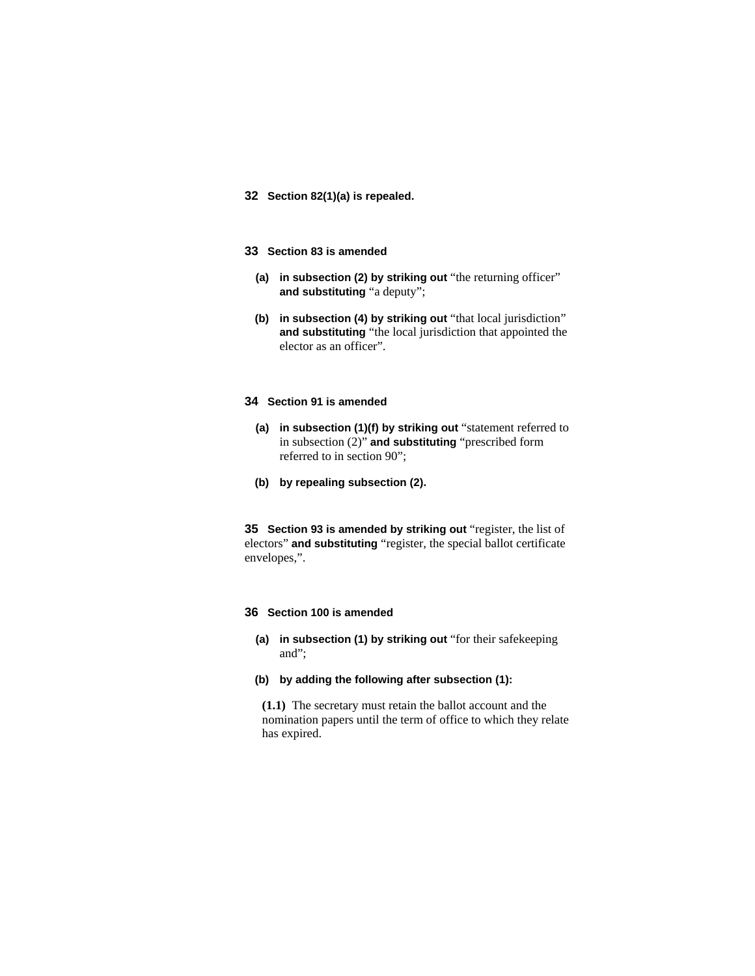- **32 Section 82(1)(a) is repealed.**
- **33 Section 83 is amended** 
	- **(a) in subsection (2) by striking out** "the returning officer" **and substituting** "a deputy";
	- **(b) in subsection (4) by striking out** "that local jurisdiction" **and substituting** "the local jurisdiction that appointed the elector as an officer".

# **34 Section 91 is amended**

- **(a) in subsection (1)(f) by striking out** "statement referred to in subsection (2)" **and substituting** "prescribed form referred to in section 90";
- **(b) by repealing subsection (2).**

**35 Section 93 is amended by striking out** "register, the list of electors" **and substituting** "register, the special ballot certificate envelopes,".

# **36 Section 100 is amended**

- **(a) in subsection (1) by striking out** "for their safekeeping and";
- **(b) by adding the following after subsection (1):**

**(1.1)** The secretary must retain the ballot account and the nomination papers until the term of office to which they relate has expired.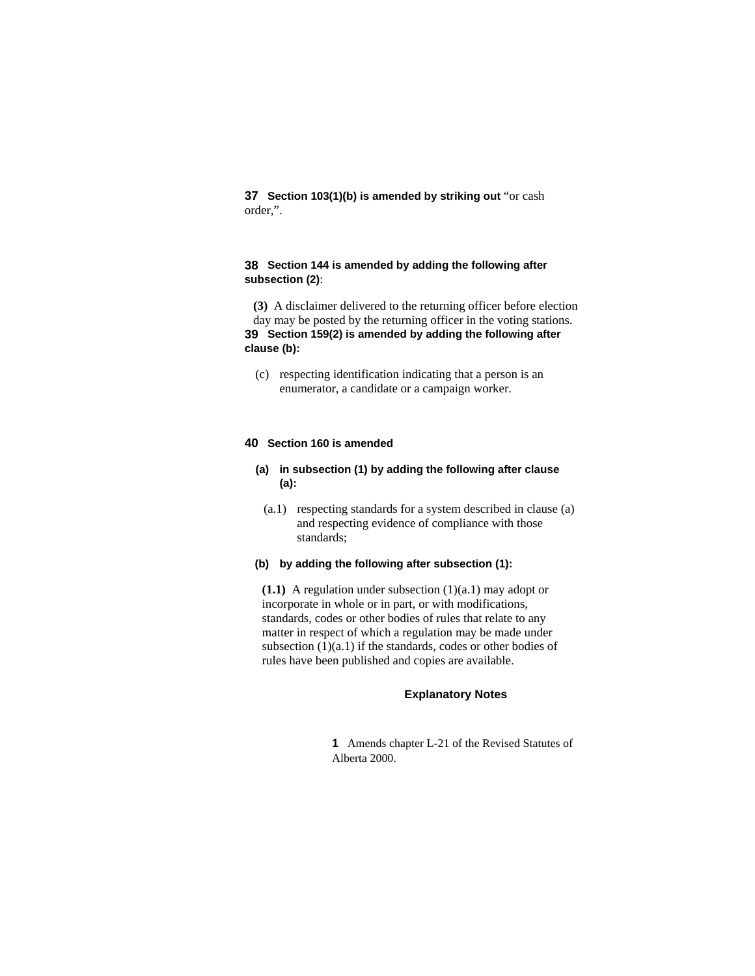**37 Section 103(1)(b) is amended by striking out** "or cash order,".

# **38 Section 144 is amended by adding the following after subsection (2)**:

**(3)** A disclaimer delivered to the returning officer before election day may be posted by the returning officer in the voting stations. **39 Section 159(2) is amended by adding the following after clause (b):**

 (c) respecting identification indicating that a person is an enumerator, a candidate or a campaign worker.

# **40 Section 160 is amended**

- **(a) in subsection (1) by adding the following after clause (a):**
- (a.1) respecting standards for a system described in clause (a) and respecting evidence of compliance with those standards;
- **(b) by adding the following after subsection (1):**

**(1.1)** A regulation under subsection (1)(a.1) may adopt or incorporate in whole or in part, or with modifications, standards, codes or other bodies of rules that relate to any matter in respect of which a regulation may be made under subsection (1)(a.1) if the standards, codes or other bodies of rules have been published and copies are available.

#### **Explanatory Notes**

**1** Amends chapter L-21 of the Revised Statutes of Alberta 2000.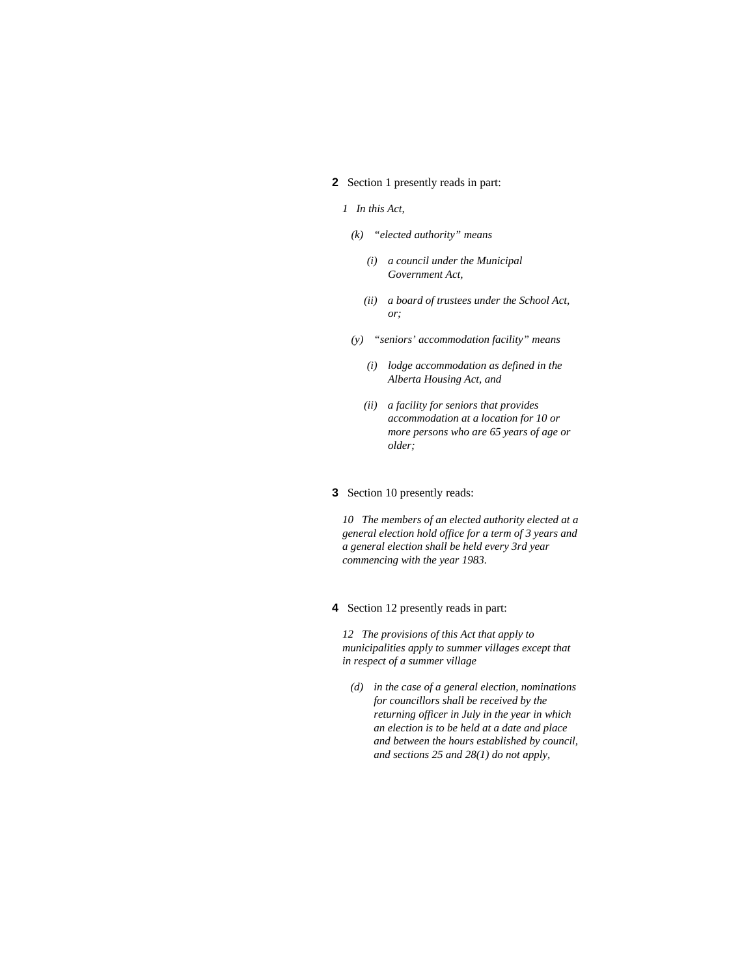### **2** Section 1 presently reads in part:

#### *1 In this Act,*

- *(k) "elected authority" means* 
	- *(i) a council under the Municipal Government Act,*
	- *(ii) a board of trustees under the School Act, or;*
- *(y) "seniors' accommodation facility" means* 
	- *(i) lodge accommodation as defined in the Alberta Housing Act, and*
	- *(ii) a facility for seniors that provides accommodation at a location for 10 or more persons who are 65 years of age or older;*

### **3** Section 10 presently reads:

*10 The members of an elected authority elected at a general election hold office for a term of 3 years and a general election shall be held every 3rd year commencing with the year 1983.* 

**4** Section 12 presently reads in part:

*12 The provisions of this Act that apply to municipalities apply to summer villages except that in respect of a summer village* 

 *(d) in the case of a general election, nominations for councillors shall be received by the returning officer in July in the year in which an election is to be held at a date and place and between the hours established by council, and sections 25 and 28(1) do not apply,*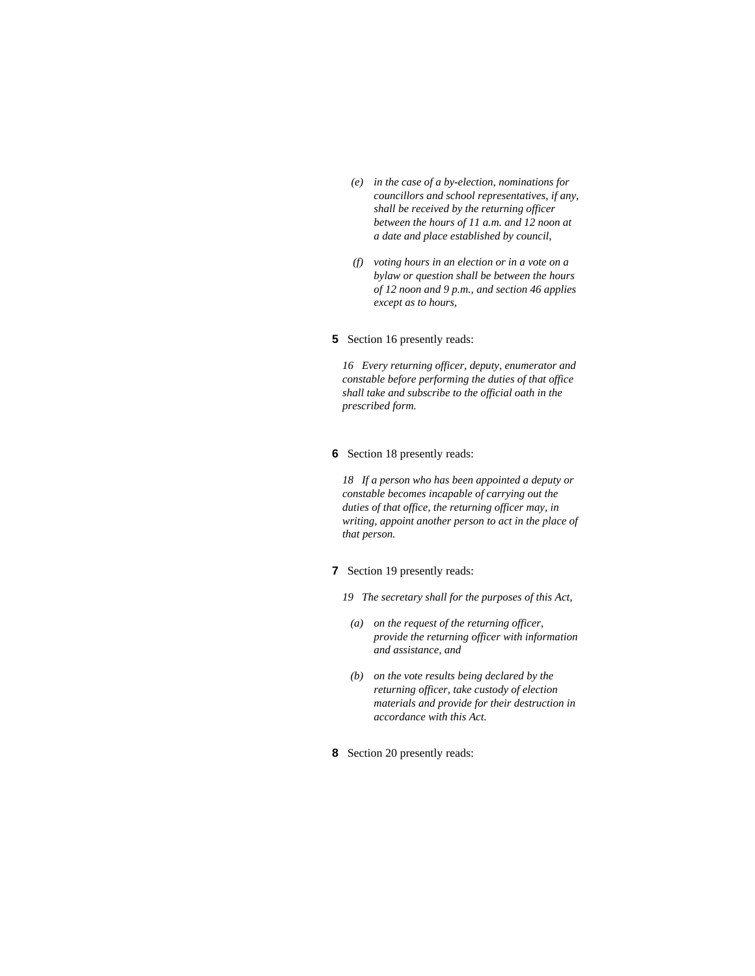- *(e) in the case of a by-election, nominations for councillors and school representatives, if any, shall be received by the returning officer between the hours of 11 a.m. and 12 noon at a date and place established by council,*
- *(f) voting hours in an election or in a vote on a bylaw or question shall be between the hours of 12 noon and 9 p.m., and section 46 applies except as to hours,*

# **5** Section 16 presently reads:

*16 Every returning officer, deputy, enumerator and constable before performing the duties of that office shall take and subscribe to the official oath in the prescribed form.* 

# **6** Section 18 presently reads:

*18 If a person who has been appointed a deputy or constable becomes incapable of carrying out the duties of that office, the returning officer may, in writing, appoint another person to act in the place of that person.* 

- **7** Section 19 presently reads:
	- *19 The secretary shall for the purposes of this Act,*
	- *(a) on the request of the returning officer, provide the returning officer with information and assistance, and*
	- *(b) on the vote results being declared by the returning officer, take custody of election materials and provide for their destruction in accordance with this Act.*
- **8** Section 20 presently reads: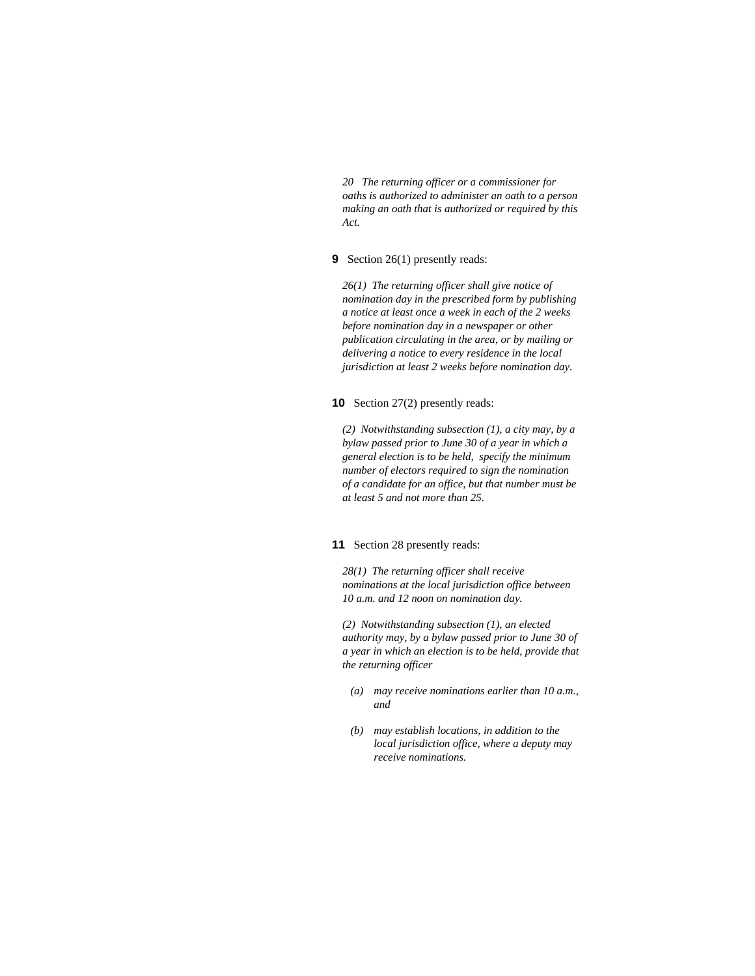*20 The returning officer or a commissioner for oaths is authorized to administer an oath to a person making an oath that is authorized or required by this Act.* 

# **9** Section 26(1) presently reads:

*26(1) The returning officer shall give notice of nomination day in the prescribed form by publishing a notice at least once a week in each of the 2 weeks before nomination day in a newspaper or other publication circulating in the area, or by mailing or delivering a notice to every residence in the local jurisdiction at least 2 weeks before nomination day.* 

### **10** Section 27(2) presently reads:

*(2) Notwithstanding subsection (1), a city may, by a bylaw passed prior to June 30 of a year in which a general election is to be held, specify the minimum number of electors required to sign the nomination of a candidate for an office, but that number must be at least 5 and not more than 25.* 

### **11** Section 28 presently reads:

*28(1) The returning officer shall receive nominations at the local jurisdiction office between 10 a.m. and 12 noon on nomination day.* 

*(2) Notwithstanding subsection (1), an elected authority may, by a bylaw passed prior to June 30 of a year in which an election is to be held, provide that the returning officer* 

- *(a) may receive nominations earlier than 10 a.m., and*
- *(b) may establish locations, in addition to the local jurisdiction office, where a deputy may receive nominations.*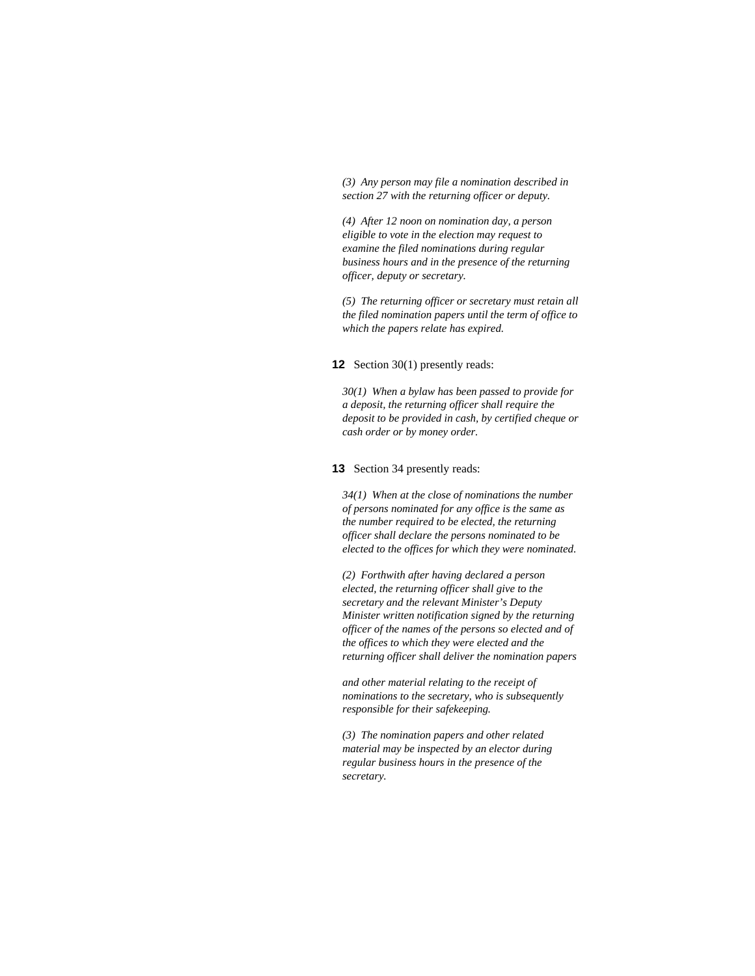*(3) Any person may file a nomination described in section 27 with the returning officer or deputy.* 

*(4) After 12 noon on nomination day, a person eligible to vote in the election may request to examine the filed nominations during regular business hours and in the presence of the returning officer, deputy or secretary.* 

*(5) The returning officer or secretary must retain all the filed nomination papers until the term of office to which the papers relate has expired.* 

**12** Section 30(1) presently reads:

*30(1) When a bylaw has been passed to provide for a deposit, the returning officer shall require the deposit to be provided in cash, by certified cheque or cash order or by money order.* 

**13** Section 34 presently reads:

*34(1) When at the close of nominations the number of persons nominated for any office is the same as the number required to be elected, the returning officer shall declare the persons nominated to be elected to the offices for which they were nominated.* 

*(2) Forthwith after having declared a person elected, the returning officer shall give to the secretary and the relevant Minister's Deputy Minister written notification signed by the returning officer of the names of the persons so elected and of the offices to which they were elected and the returning officer shall deliver the nomination papers* 

*and other material relating to the receipt of nominations to the secretary, who is subsequently responsible for their safekeeping.* 

*(3) The nomination papers and other related material may be inspected by an elector during regular business hours in the presence of the secretary.*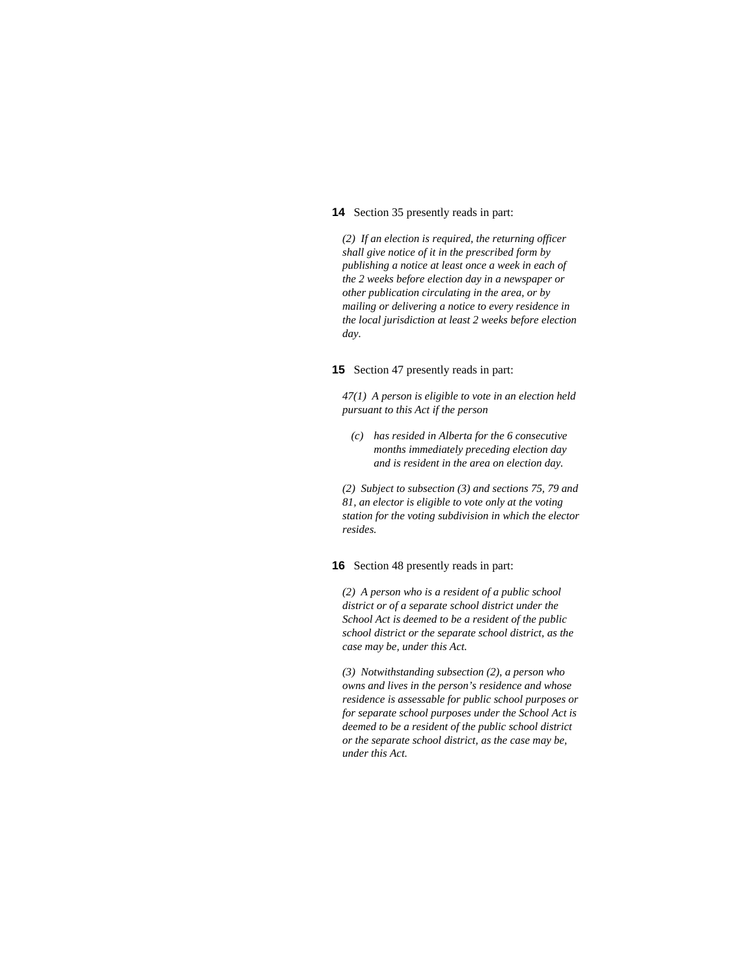# **14** Section 35 presently reads in part:

*(2) If an election is required, the returning officer shall give notice of it in the prescribed form by publishing a notice at least once a week in each of the 2 weeks before election day in a newspaper or other publication circulating in the area, or by mailing or delivering a notice to every residence in the local jurisdiction at least 2 weeks before election day.* 

#### **15** Section 47 presently reads in part:

*47(1) A person is eligible to vote in an election held pursuant to this Act if the person* 

 *(c) has resided in Alberta for the 6 consecutive months immediately preceding election day and is resident in the area on election day.* 

*(2) Subject to subsection (3) and sections 75, 79 and 81, an elector is eligible to vote only at the voting station for the voting subdivision in which the elector resides.* 

#### **16** Section 48 presently reads in part:

*(2) A person who is a resident of a public school district or of a separate school district under the School Act is deemed to be a resident of the public school district or the separate school district, as the case may be, under this Act.* 

*(3) Notwithstanding subsection (2), a person who owns and lives in the person's residence and whose residence is assessable for public school purposes or for separate school purposes under the School Act is deemed to be a resident of the public school district or the separate school district, as the case may be, under this Act.*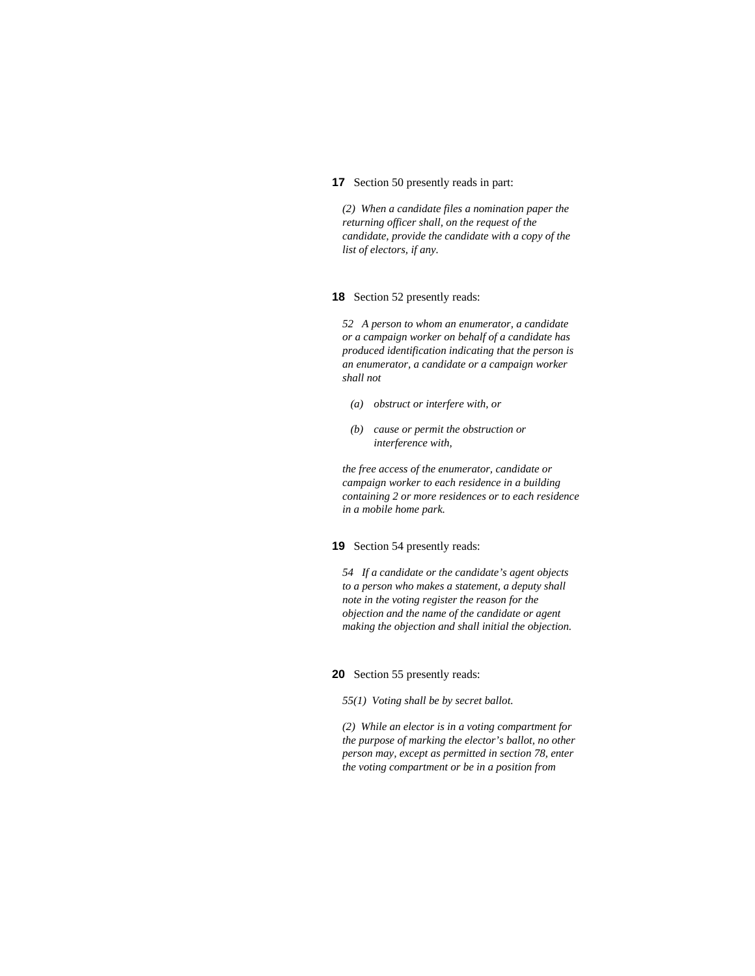# **17** Section 50 presently reads in part:

*(2) When a candidate files a nomination paper the returning officer shall, on the request of the candidate, provide the candidate with a copy of the list of electors, if any.* 

### **18** Section 52 presently reads:

*52 A person to whom an enumerator, a candidate or a campaign worker on behalf of a candidate has produced identification indicating that the person is an enumerator, a candidate or a campaign worker shall not* 

- *(a) obstruct or interfere with, or*
- *(b) cause or permit the obstruction or interference with,*

*the free access of the enumerator, candidate or campaign worker to each residence in a building containing 2 or more residences or to each residence in a mobile home park.* 

### **19** Section 54 presently reads:

*54 If a candidate or the candidate's agent objects to a person who makes a statement, a deputy shall note in the voting register the reason for the objection and the name of the candidate or agent making the objection and shall initial the objection.* 

### **20** Section 55 presently reads:

*55(1) Voting shall be by secret ballot.* 

*(2) While an elector is in a voting compartment for the purpose of marking the elector's ballot, no other person may, except as permitted in section 78, enter the voting compartment or be in a position from*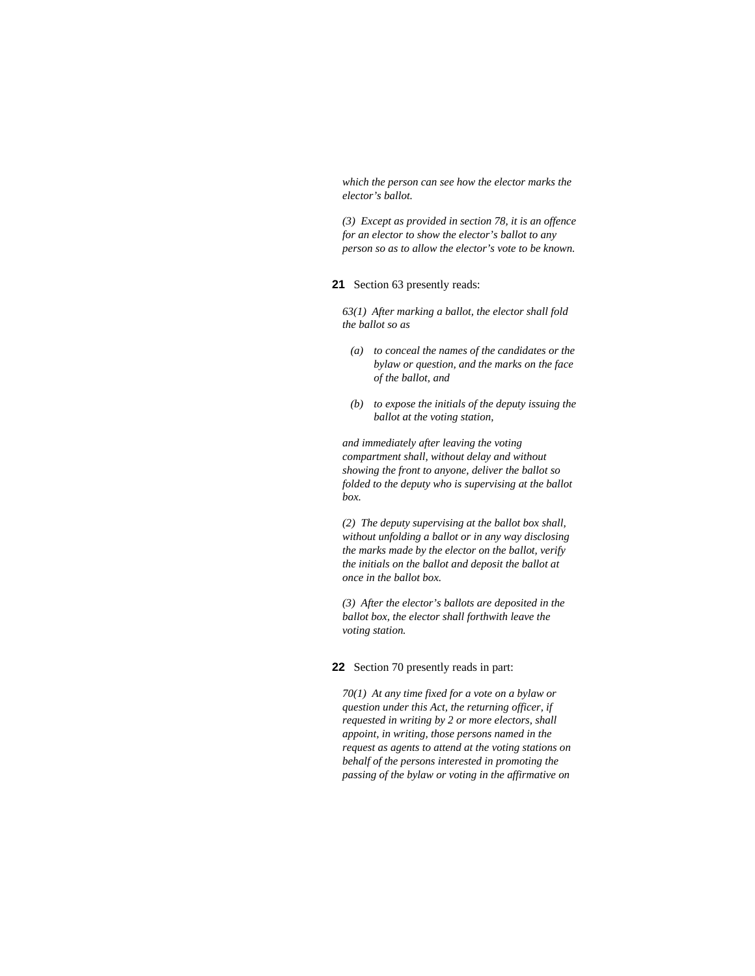*which the person can see how the elector marks the elector's ballot.* 

*(3) Except as provided in section 78, it is an offence for an elector to show the elector's ballot to any person so as to allow the elector's vote to be known.* 

# **21** Section 63 presently reads:

*63(1) After marking a ballot, the elector shall fold the ballot so as* 

- *(a) to conceal the names of the candidates or the bylaw or question, and the marks on the face of the ballot, and*
- *(b) to expose the initials of the deputy issuing the ballot at the voting station,*

*and immediately after leaving the voting compartment shall, without delay and without showing the front to anyone, deliver the ballot so folded to the deputy who is supervising at the ballot box.* 

*(2) The deputy supervising at the ballot box shall, without unfolding a ballot or in any way disclosing the marks made by the elector on the ballot, verify the initials on the ballot and deposit the ballot at once in the ballot box.* 

*(3) After the elector's ballots are deposited in the ballot box, the elector shall forthwith leave the voting station.* 

#### **22** Section 70 presently reads in part:

*70(1) At any time fixed for a vote on a bylaw or question under this Act, the returning officer, if requested in writing by 2 or more electors, shall appoint, in writing, those persons named in the request as agents to attend at the voting stations on behalf of the persons interested in promoting the passing of the bylaw or voting in the affirmative on*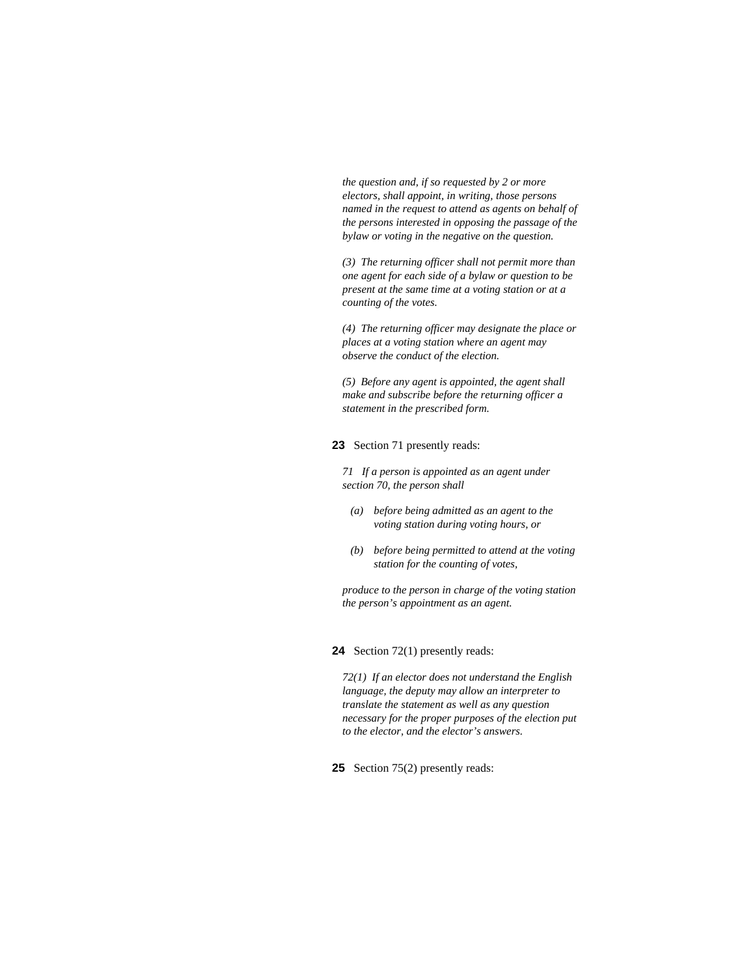*the question and, if so requested by 2 or more electors, shall appoint, in writing, those persons named in the request to attend as agents on behalf of the persons interested in opposing the passage of the bylaw or voting in the negative on the question.* 

*(3) The returning officer shall not permit more than one agent for each side of a bylaw or question to be present at the same time at a voting station or at a counting of the votes.* 

*(4) The returning officer may designate the place or places at a voting station where an agent may observe the conduct of the election.* 

*(5) Before any agent is appointed, the agent shall make and subscribe before the returning officer a statement in the prescribed form.* 

### **23** Section 71 presently reads:

*71 If a person is appointed as an agent under section 70, the person shall* 

- *(a) before being admitted as an agent to the voting station during voting hours, or*
- *(b) before being permitted to attend at the voting station for the counting of votes,*

*produce to the person in charge of the voting station the person's appointment as an agent.* 

**24** Section 72(1) presently reads:

*72(1) If an elector does not understand the English language, the deputy may allow an interpreter to translate the statement as well as any question necessary for the proper purposes of the election put to the elector, and the elector's answers.* 

**25** Section 75(2) presently reads: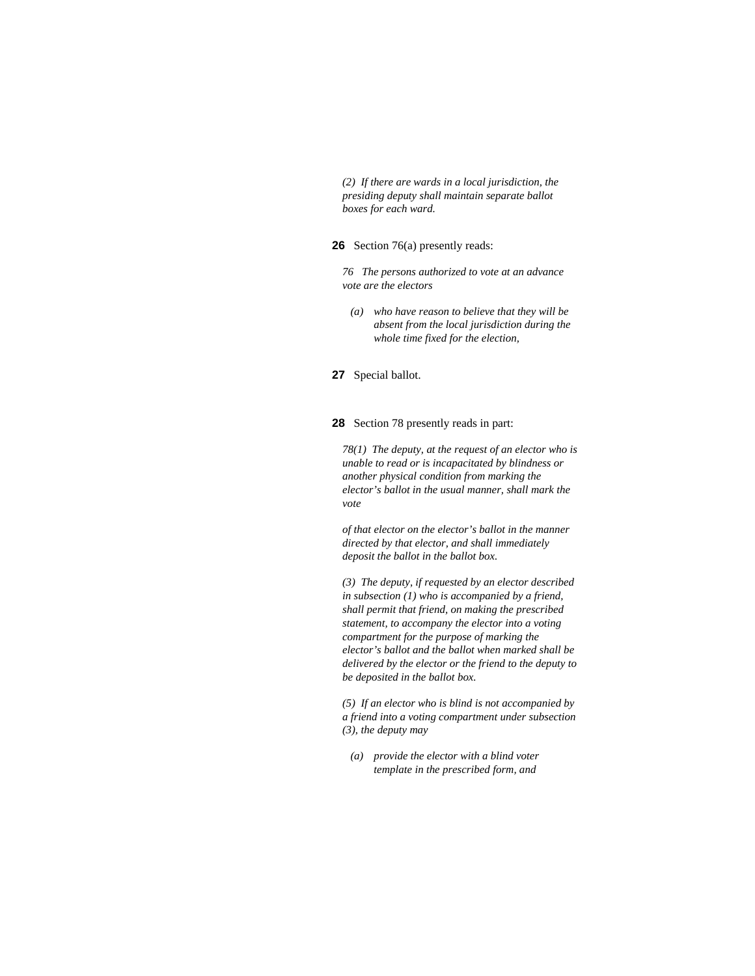*(2) If there are wards in a local jurisdiction, the presiding deputy shall maintain separate ballot boxes for each ward.* 

**26** Section 76(a) presently reads:

*76 The persons authorized to vote at an advance vote are the electors* 

 *(a) who have reason to believe that they will be absent from the local jurisdiction during the whole time fixed for the election,* 

**27** Special ballot.

**28** Section 78 presently reads in part:

*78(1) The deputy, at the request of an elector who is unable to read or is incapacitated by blindness or another physical condition from marking the elector's ballot in the usual manner, shall mark the vote* 

*of that elector on the elector's ballot in the manner directed by that elector, and shall immediately deposit the ballot in the ballot box.* 

*(3) The deputy, if requested by an elector described in subsection (1) who is accompanied by a friend, shall permit that friend, on making the prescribed statement, to accompany the elector into a voting compartment for the purpose of marking the elector's ballot and the ballot when marked shall be delivered by the elector or the friend to the deputy to be deposited in the ballot box.* 

*(5) If an elector who is blind is not accompanied by a friend into a voting compartment under subsection (3), the deputy may* 

 *(a) provide the elector with a blind voter template in the prescribed form, and*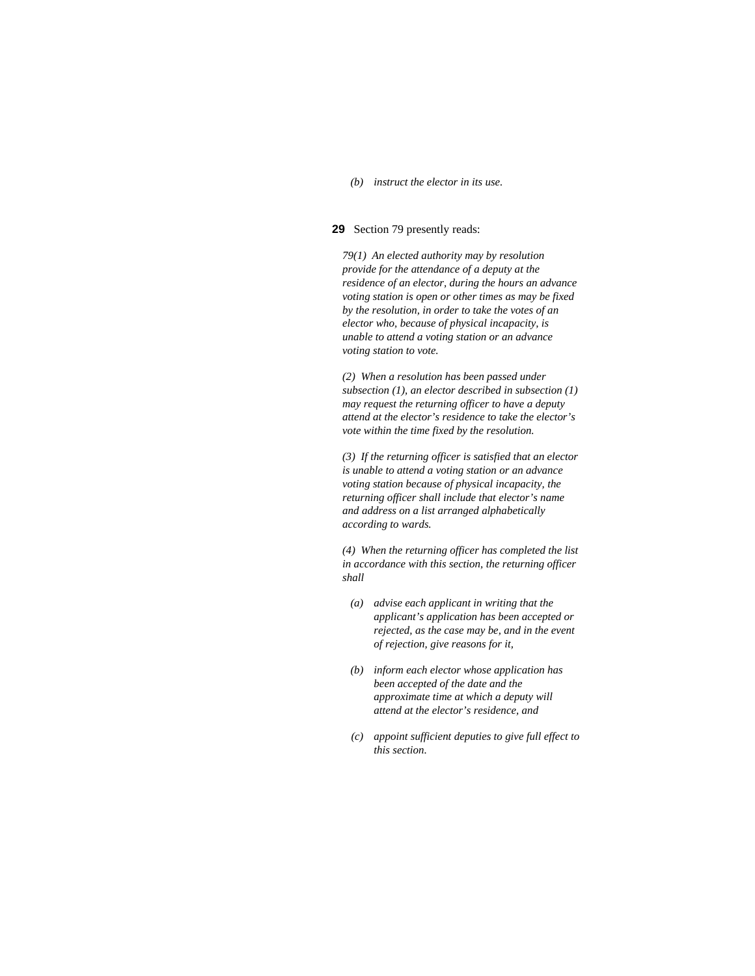### *(b) instruct the elector in its use.*

### **29** Section 79 presently reads:

*79(1) An elected authority may by resolution provide for the attendance of a deputy at the residence of an elector, during the hours an advance voting station is open or other times as may be fixed by the resolution, in order to take the votes of an elector who, because of physical incapacity, is unable to attend a voting station or an advance voting station to vote.* 

*(2) When a resolution has been passed under subsection (1), an elector described in subsection (1) may request the returning officer to have a deputy attend at the elector's residence to take the elector's vote within the time fixed by the resolution.* 

*(3) If the returning officer is satisfied that an elector is unable to attend a voting station or an advance voting station because of physical incapacity, the returning officer shall include that elector's name and address on a list arranged alphabetically according to wards.* 

*(4) When the returning officer has completed the list in accordance with this section, the returning officer shall* 

- *(a) advise each applicant in writing that the applicant's application has been accepted or rejected, as the case may be, and in the event of rejection, give reasons for it,*
- *(b) inform each elector whose application has been accepted of the date and the approximate time at which a deputy will attend at the elector's residence, and*
- *(c) appoint sufficient deputies to give full effect to this section.*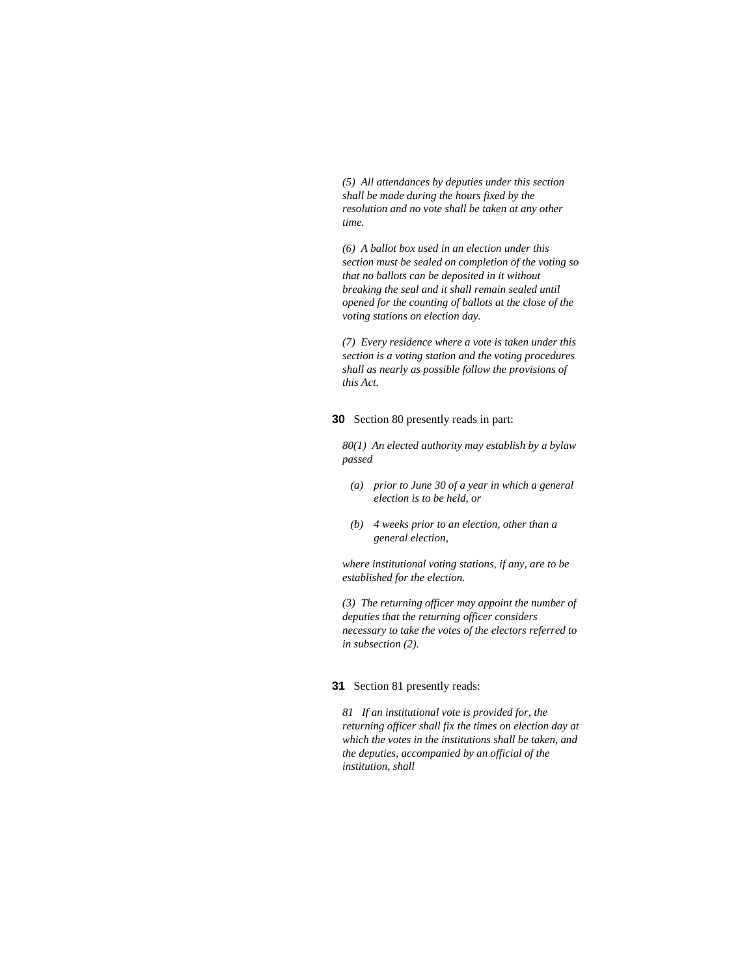*(5) All attendances by deputies under this section shall be made during the hours fixed by the resolution and no vote shall be taken at any other time.* 

*(6) A ballot box used in an election under this section must be sealed on completion of the voting so that no ballots can be deposited in it without breaking the seal and it shall remain sealed until opened for the counting of ballots at the close of the voting stations on election day.* 

*(7) Every residence where a vote is taken under this section is a voting station and the voting procedures shall as nearly as possible follow the provisions of this Act.* 

**30** Section 80 presently reads in part:

*80(1) An elected authority may establish by a bylaw passed* 

- *(a) prior to June 30 of a year in which a general election is to be held, or*
- *(b) 4 weeks prior to an election, other than a general election,*

*where institutional voting stations, if any, are to be established for the election.* 

*(3) The returning officer may appoint the number of deputies that the returning officer considers necessary to take the votes of the electors referred to in subsection (2).* 

### **31** Section 81 presently reads:

*81 If an institutional vote is provided for, the returning officer shall fix the times on election day at which the votes in the institutions shall be taken, and the deputies, accompanied by an official of the institution, shall*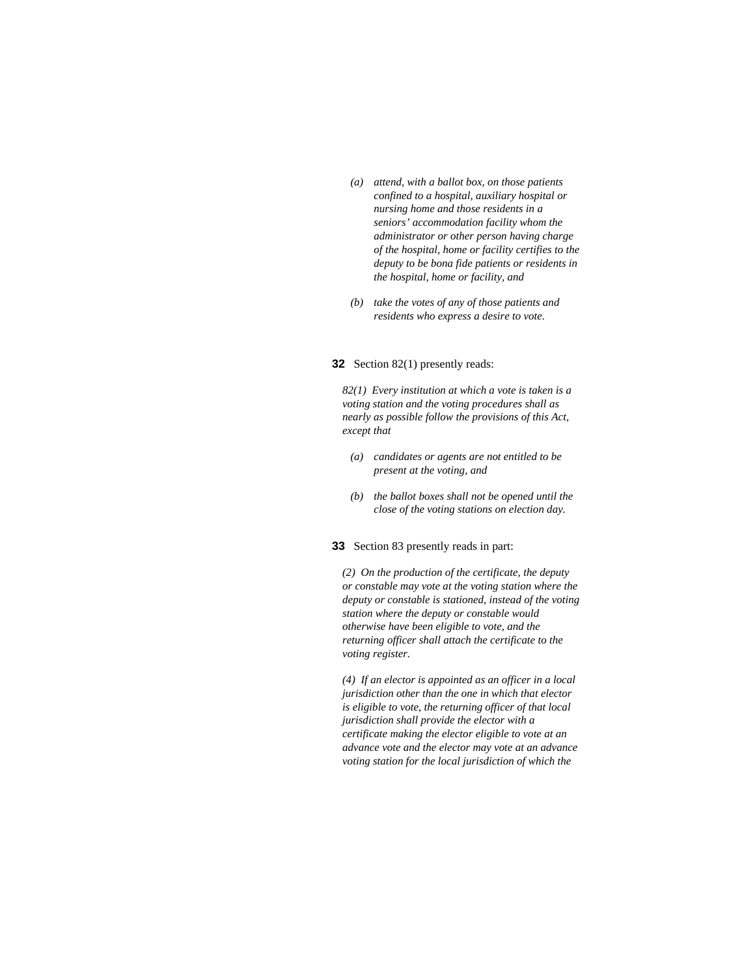- *(a) attend, with a ballot box, on those patients confined to a hospital, auxiliary hospital or nursing home and those residents in a seniors' accommodation facility whom the administrator or other person having charge of the hospital, home or facility certifies to the deputy to be bona fide patients or residents in the hospital, home or facility, and*
- *(b) take the votes of any of those patients and residents who express a desire to vote.*

# **32** Section 82(1) presently reads:

*82(1) Every institution at which a vote is taken is a voting station and the voting procedures shall as nearly as possible follow the provisions of this Act, except that* 

- *(a) candidates or agents are not entitled to be present at the voting, and*
- *(b) the ballot boxes shall not be opened until the close of the voting stations on election day.*

# **33** Section 83 presently reads in part:

*(2) On the production of the certificate, the deputy or constable may vote at the voting station where the deputy or constable is stationed, instead of the voting station where the deputy or constable would otherwise have been eligible to vote, and the returning officer shall attach the certificate to the voting register.* 

*(4) If an elector is appointed as an officer in a local jurisdiction other than the one in which that elector is eligible to vote, the returning officer of that local jurisdiction shall provide the elector with a certificate making the elector eligible to vote at an advance vote and the elector may vote at an advance voting station for the local jurisdiction of which the*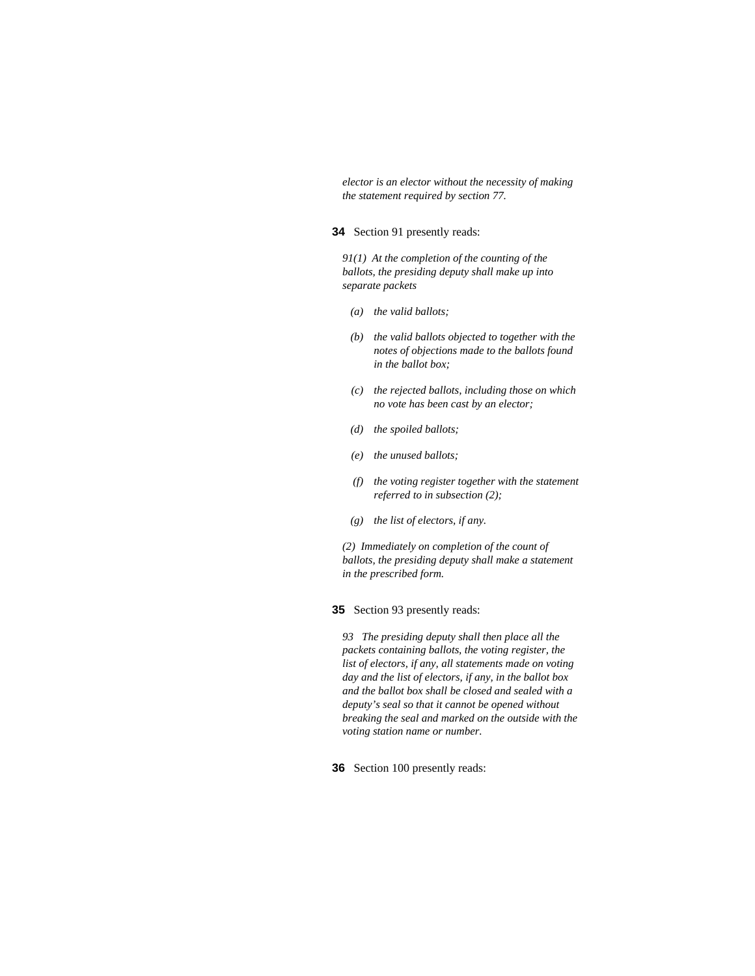*elector is an elector without the necessity of making the statement required by section 77.* 

# **34** Section 91 presently reads:

*91(1) At the completion of the counting of the ballots, the presiding deputy shall make up into separate packets* 

- *(a) the valid ballots;*
- *(b) the valid ballots objected to together with the notes of objections made to the ballots found in the ballot box;*
- *(c) the rejected ballots, including those on which no vote has been cast by an elector;*
- *(d) the spoiled ballots;*
- *(e) the unused ballots;*
- *(f) the voting register together with the statement referred to in subsection (2);*
- *(g) the list of electors, if any.*

*(2) Immediately on completion of the count of ballots, the presiding deputy shall make a statement in the prescribed form.* 

**35** Section 93 presently reads:

*93 The presiding deputy shall then place all the packets containing ballots, the voting register, the list of electors, if any, all statements made on voting day and the list of electors, if any, in the ballot box and the ballot box shall be closed and sealed with a deputy's seal so that it cannot be opened without breaking the seal and marked on the outside with the voting station name or number.* 

**36** Section 100 presently reads: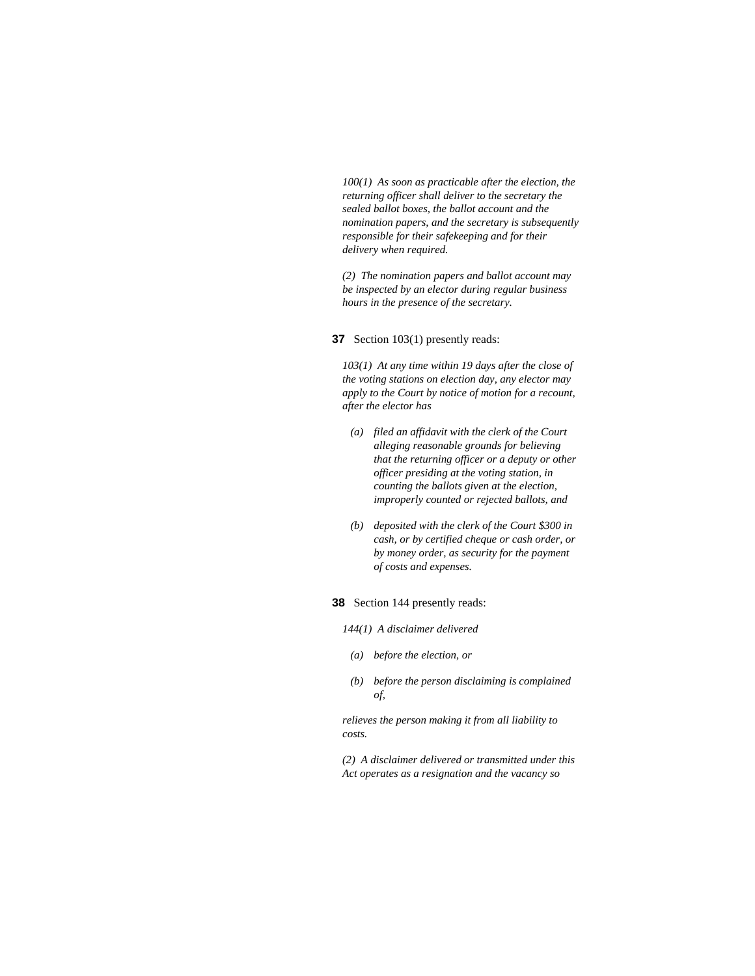*100(1) As soon as practicable after the election, the returning officer shall deliver to the secretary the sealed ballot boxes, the ballot account and the nomination papers, and the secretary is subsequently responsible for their safekeeping and for their delivery when required.* 

*(2) The nomination papers and ballot account may be inspected by an elector during regular business hours in the presence of the secretary.* 

### **37** Section 103(1) presently reads:

*103(1) At any time within 19 days after the close of the voting stations on election day, any elector may apply to the Court by notice of motion for a recount, after the elector has* 

- *(a) filed an affidavit with the clerk of the Court alleging reasonable grounds for believing that the returning officer or a deputy or other officer presiding at the voting station, in counting the ballots given at the election, improperly counted or rejected ballots, and*
- *(b) deposited with the clerk of the Court \$300 in cash, or by certified cheque or cash order, or by money order, as security for the payment of costs and expenses.*

**38** Section 144 presently reads:

- *144(1) A disclaimer delivered*
- *(a) before the election, or*
- *(b) before the person disclaiming is complained of,*

*relieves the person making it from all liability to costs.* 

*(2) A disclaimer delivered or transmitted under this Act operates as a resignation and the vacancy so*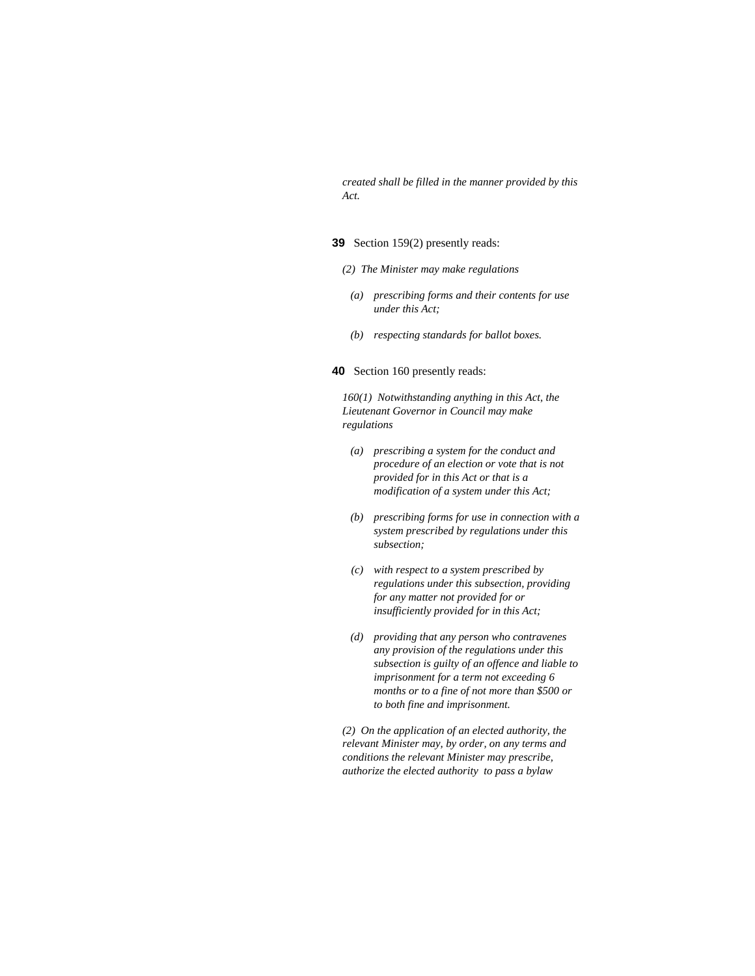*created shall be filled in the manner provided by this Act.* 

# **39** Section 159(2) presently reads:

- *(2) The Minister may make regulations*
- *(a) prescribing forms and their contents for use under this Act;*
- *(b) respecting standards for ballot boxes.*

#### **40** Section 160 presently reads:

*160(1) Notwithstanding anything in this Act, the Lieutenant Governor in Council may make regulations* 

- *(a) prescribing a system for the conduct and procedure of an election or vote that is not provided for in this Act or that is a modification of a system under this Act;*
- *(b) prescribing forms for use in connection with a system prescribed by regulations under this subsection;*
- *(c) with respect to a system prescribed by regulations under this subsection, providing for any matter not provided for or insufficiently provided for in this Act;*
- *(d) providing that any person who contravenes any provision of the regulations under this subsection is guilty of an offence and liable to imprisonment for a term not exceeding 6 months or to a fine of not more than \$500 or to both fine and imprisonment.*

*(2) On the application of an elected authority, the relevant Minister may, by order, on any terms and conditions the relevant Minister may prescribe, authorize the elected authority to pass a bylaw*